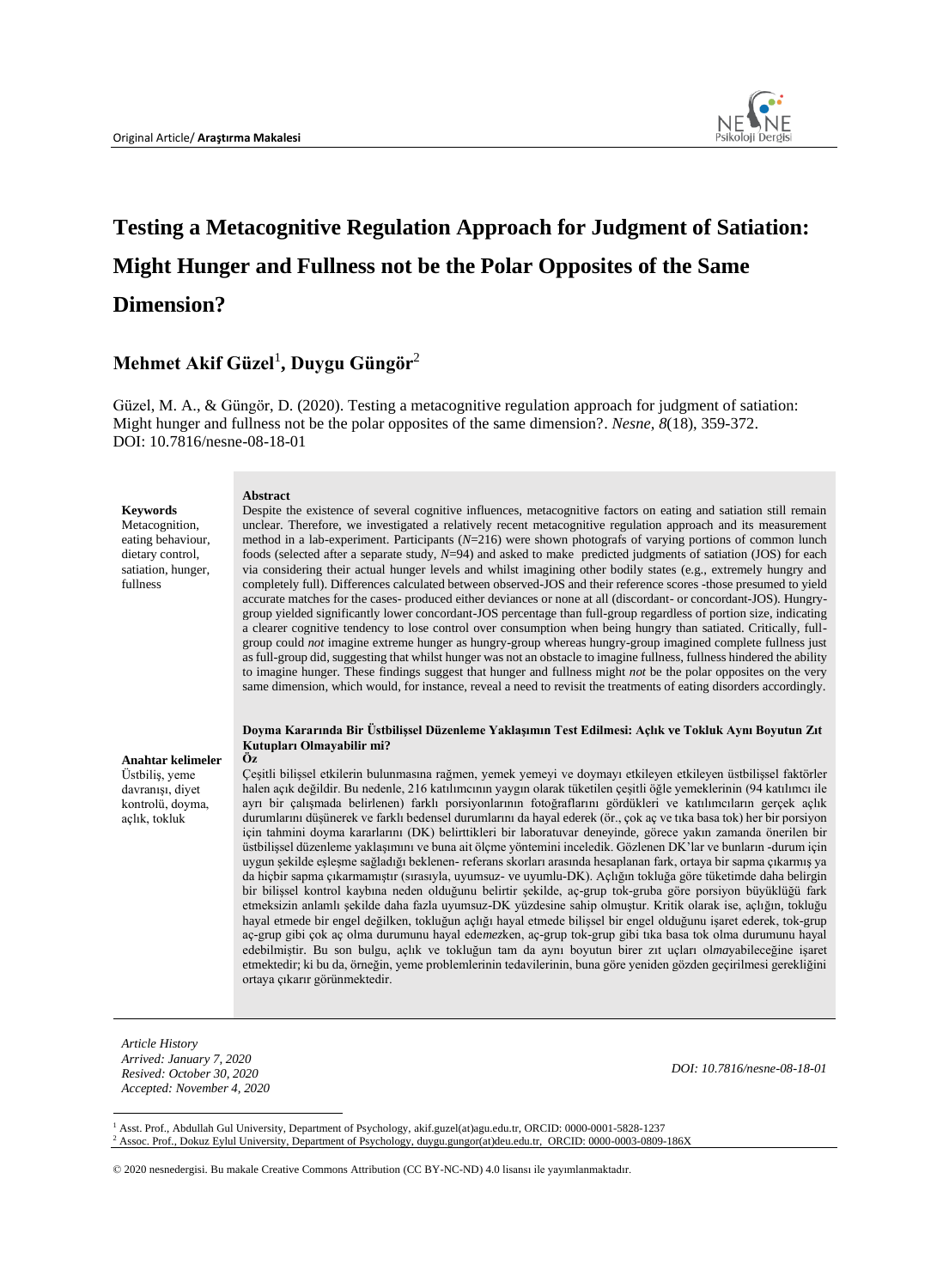

# **Testing a Metacognitive Regulation Approach for Judgment of Satiation: Might Hunger and Fullness not be the Polar Opposites of the Same Dimension?**

## **Mehmet Akif Güzel**<sup>1</sup> **, Duygu Güngör**<sup>2</sup>

Güzel, M. A., & Güngör, D. (2020). Testing a metacognitive regulation approach for judgment of satiation: Might hunger and fullness not be the polar opposites of the same dimension?. *Nesne, 8*(18), 359-372. DOI: 10.7816/nesne-08-18-01

| <b>Keywords</b><br>Metacognition,<br>eating behaviour,<br>dietary control,<br>satiation, hunger,<br>fullness | <b>Abstract</b><br>Despite the existence of several cognitive influences, metacognitive factors on eating and satiation still remain<br>unclear. Therefore, we investigated a relatively recent metacognitive regulation approach and its measurement<br>method in a lab-experiment. Participants $(N=216)$ were shown photografs of varying portions of common lunch<br>foods (selected after a separate study, $N=94$ ) and asked to make predicted judgments of satiation (JOS) for each<br>via considering their actual hunger levels and whilst imagining other bodily states (e.g., extremely hungry and<br>completely full). Differences calculated between observed-JOS and their reference scores -those presumed to yield<br>accurate matches for the cases- produced either deviances or none at all (discordant- or concordant-JOS). Hungry-<br>group yielded significantly lower concordant-JOS percentage than full-group regardless of portion size, indicating<br>a clearer cognitive tendency to lose control over consumption when being hungry than satiated. Critically, full-<br>group could <i>not</i> imagine extreme hunger as hungry-group whereas hungry-group imagined complete fullness just<br>as full-group did, suggesting that whilst hunger was not an obstacle to imagine fullness, fullness hindered the ability<br>to imagine hunger. These findings suggest that hunger and fullness might not be the polar opposites on the very<br>same dimension, which would, for instance, reveal a need to revisit the treatments of eating disorders accordingly.                                                                                                                                                                                                                                                          |
|--------------------------------------------------------------------------------------------------------------|--------------------------------------------------------------------------------------------------------------------------------------------------------------------------------------------------------------------------------------------------------------------------------------------------------------------------------------------------------------------------------------------------------------------------------------------------------------------------------------------------------------------------------------------------------------------------------------------------------------------------------------------------------------------------------------------------------------------------------------------------------------------------------------------------------------------------------------------------------------------------------------------------------------------------------------------------------------------------------------------------------------------------------------------------------------------------------------------------------------------------------------------------------------------------------------------------------------------------------------------------------------------------------------------------------------------------------------------------------------------------------------------------------------------------------------------------------------------------------------------------------------------------------------------------------------------------------------------------------------------------------------------------------------------------------------------------------------------------------------------------------------------------------------------------------------------------------------------------------|
| Anahtar kelimeler<br>Üstbilis, yeme<br>davranısı, diyet<br>kontrolü, doyma,<br>açlık, tokluk                 | Doyma Kararında Bir Üstbilissel Düzenleme Yaklasımın Test Edilmesi: Açlık ve Tokluk Aynı Boyutun Zıt<br>Kutupları Olmayabilir mi?<br>Öz<br>Cesitli bilissel etkilerin bulunmasına rağmen, yemek yemeyi ve doymayı etkileyen etkileyen üstbilissel faktörler<br>halen açık değildir. Bu nedenle, 216 katılımcının yaygın olarak tüketilen çeşitli öğle yemeklerinin (94 katılımcı ile<br>ayrı bir çalışmada belirlenen) farklı porsiyonlarının fotoğraflarını gördükleri ve katılımcıların gerçek açlık<br>durumlarını düşünerek ve farklı bedensel durumlarını da hayal ederek (ör., çok aç ve tıka basa tok) her bir porsiyon<br>için tahmini doyma kararlarını (DK) belirttikleri bir laboratuvar deneyinde, görece yakın zamanda önerilen bir<br>üstbilissel düzenleme yaklaşımını ve buna ait ölçme yöntemini inceledik. Gözlenen DK'lar ve bunların -durum için<br>uygun sekilde eslesme sağladığı beklenen- referans skorları arasında hesaplanan fark, ortaya bir sapma çıkarmış ya<br>da hiçbir sapma çıkarmamıştır (sırasıyla, uyumsuz- ve uyumlu-DK). Açlığın tokluğa göre tüketimde daha belirgin<br>bir bilişsel kontrol kaybına neden olduğunu belirtir şekilde, aç-grup tok-gruba göre porsiyon büyüklüğü fark<br>etmeksizin anlamlı sekilde daha fazla uyumsuz-DK yüzdesine sahip olmuştur. Kritik olarak ise, açlığın, tokluğu<br>hayal etmede bir engel değilken, tokluğun açlığı hayal etmede bilişsel bir engel olduğunu işaret ederek, tok-grup<br>ac-grup gibi cok ac olma durumunu hayal edemezken, ac-grup tok-grup gibi tika basa tok olma durumunu hayal<br>edebilmiştir. Bu son bulgu, açlık ve tokluğun tam da aynı boyutun birer zıt uçları olmayabileceğine işaret<br>etmektedir; ki bu da, örneğin, yeme problemlerinin tedavilerinin, buna göre yeniden gözden geçirilmesi gerekliğini<br>ortaya çıkarır görünmektedir. |

*Article History Arrived: January 7, 2020 Resived: October 30, 2020 Accepted: November 4, 2020* 

*DOI: 10.7816/nesne-08-18-01*

<sup>1</sup> Asst. Prof., Abdullah Gul University, Department of Psychology, akif.guzel(at)agu.edu.tr, ORCID: 0000-0001-5828-1237 <sup>2</sup> Assoc. Prof., Dokuz Eylul University, Department of Psychology, duygu.gungor(at)deu.edu.tr, ORCID: 0000-0003-0809-186X

© 2020 nesnedergisi. Bu makale Creative Commons Attribution (CC BY-NC-ND) 4.0 lisansı ile yayımlanmaktadır.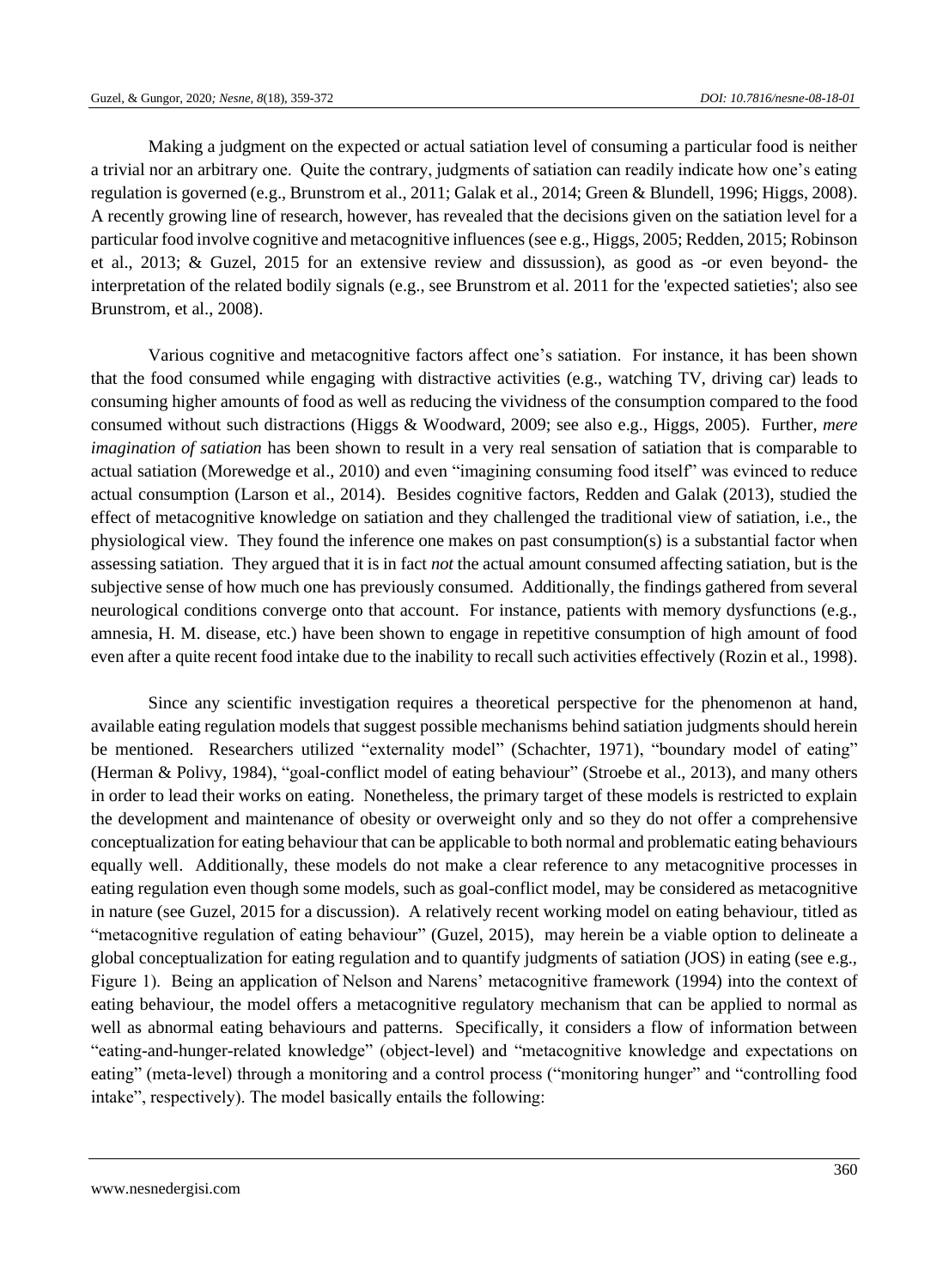Making a judgment on the expected or actual satiation level of consuming a particular food is neither a trivial nor an arbitrary one. Quite the contrary, judgments of satiation can readily indicate how one's eating regulation is governed (e.g., Brunstrom et al., 2011; Galak et al., 2014; Green & Blundell, 1996; Higgs, 2008). A recently growing line of research, however, has revealed that the decisions given on the satiation level for a particular food involve cognitive and metacognitive influences (see e.g., Higgs, 2005; Redden, 2015; Robinson et al., 2013; & Guzel, 2015 for an extensive review and dissussion), as good as -or even beyond- the interpretation of the related bodily signals (e.g., see Brunstrom et al. 2011 for the 'expected satieties'; also see Brunstrom, et al., 2008).

Various cognitive and metacognitive factors affect one's satiation. For instance, it has been shown that the food consumed while engaging with distractive activities (e.g., watching TV, driving car) leads to consuming higher amounts of food as well as reducing the vividness of the consumption compared to the food consumed without such distractions (Higgs & Woodward, 2009; see also e.g., Higgs, 2005). Further, *mere imagination of satiation* has been shown to result in a very real sensation of satiation that is comparable to actual satiation (Morewedge et al., 2010) and even "imagining consuming food itself" was evinced to reduce actual consumption (Larson et al., 2014). Besides cognitive factors, Redden and Galak (2013), studied the effect of metacognitive knowledge on satiation and they challenged the traditional view of satiation, i.e., the physiological view. They found the inference one makes on past consumption(s) is a substantial factor when assessing satiation. They argued that it is in fact *not* the actual amount consumed affecting satiation, but is the subjective sense of how much one has previously consumed. Additionally, the findings gathered from several neurological conditions converge onto that account. For instance, patients with memory dysfunctions (e.g., amnesia, H. M. disease, etc.) have been shown to engage in repetitive consumption of high amount of food even after a quite recent food intake due to the inability to recall such activities effectively (Rozin et al., 1998).

Since any scientific investigation requires a theoretical perspective for the phenomenon at hand, available eating regulation models that suggest possible mechanisms behind satiation judgments should herein be mentioned. Researchers utilized "externality model" (Schachter, 1971), "boundary model of eating" (Herman & Polivy, 1984), "goal-conflict model of eating behaviour" (Stroebe et al., 2013), and many others in order to lead their works on eating. Nonetheless, the primary target of these models is restricted to explain the development and maintenance of obesity or overweight only and so they do not offer a comprehensive conceptualization for eating behaviour that can be applicable to both normal and problematic eating behaviours equally well. Additionally, these models do not make a clear reference to any metacognitive processes in eating regulation even though some models, such as goal-conflict model, may be considered as metacognitive in nature (see Guzel, 2015 for a discussion). A relatively recent working model on eating behaviour, titled as "metacognitive regulation of eating behaviour" (Guzel, 2015), may herein be a viable option to delineate a global conceptualization for eating regulation and to quantify judgments of satiation (JOS) in eating (see e.g., Figure 1). Being an application of Nelson and Narens' metacognitive framework (1994) into the context of eating behaviour, the model offers a metacognitive regulatory mechanism that can be applied to normal as well as abnormal eating behaviours and patterns. Specifically, it considers a flow of information between "eating-and-hunger-related knowledge" (object-level) and "metacognitive knowledge and expectations on eating" (meta-level) through a monitoring and a control process ("monitoring hunger" and "controlling food intake", respectively). The model basically entails the following: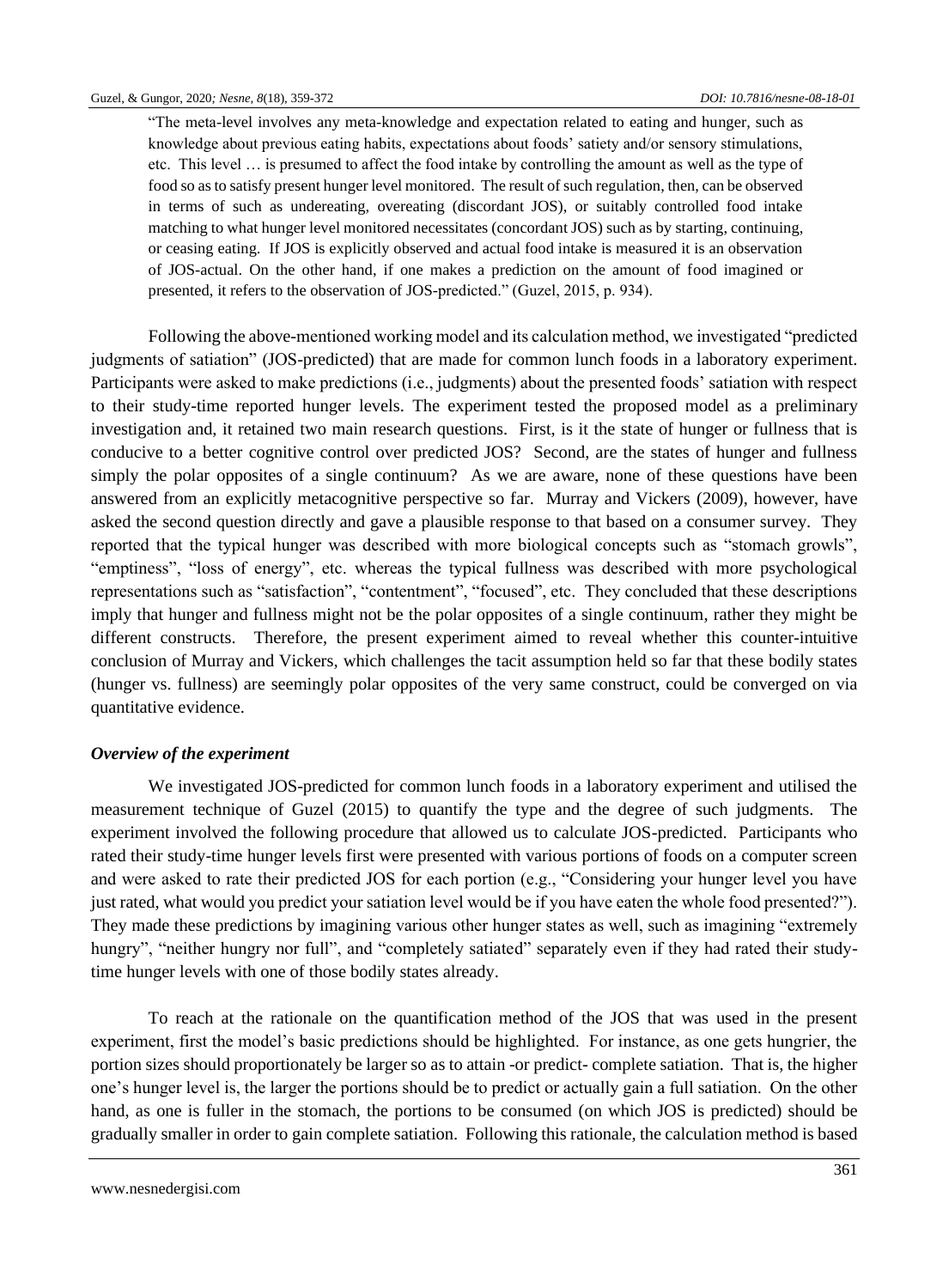"The meta-level involves any meta-knowledge and expectation related to eating and hunger, such as knowledge about previous eating habits, expectations about foods' satiety and/or sensory stimulations, etc. This level … is presumed to affect the food intake by controlling the amount as well as the type of food so as to satisfy present hunger level monitored. The result of such regulation, then, can be observed in terms of such as undereating, overeating (discordant JOS), or suitably controlled food intake matching to what hunger level monitored necessitates (concordant JOS) such as by starting, continuing, or ceasing eating. If JOS is explicitly observed and actual food intake is measured it is an observation of JOS-actual. On the other hand, if one makes a prediction on the amount of food imagined or presented, it refers to the observation of JOS-predicted." (Guzel, 2015, p. 934).

Following the above-mentioned working model and its calculation method, we investigated "predicted judgments of satiation" (JOS-predicted) that are made for common lunch foods in a laboratory experiment. Participants were asked to make predictions (i.e., judgments) about the presented foods' satiation with respect to their study-time reported hunger levels. The experiment tested the proposed model as a preliminary investigation and, it retained two main research questions. First, is it the state of hunger or fullness that is conducive to a better cognitive control over predicted JOS? Second, are the states of hunger and fullness simply the polar opposites of a single continuum? As we are aware, none of these questions have been answered from an explicitly metacognitive perspective so far. Murray and Vickers (2009), however, have asked the second question directly and gave a plausible response to that based on a consumer survey. They reported that the typical hunger was described with more biological concepts such as "stomach growls", "emptiness", "loss of energy", etc. whereas the typical fullness was described with more psychological representations such as "satisfaction", "contentment", "focused", etc. They concluded that these descriptions imply that hunger and fullness might not be the polar opposites of a single continuum, rather they might be different constructs. Therefore, the present experiment aimed to reveal whether this counter-intuitive conclusion of Murray and Vickers, which challenges the tacit assumption held so far that these bodily states (hunger vs. fullness) are seemingly polar opposites of the very same construct, could be converged on via quantitative evidence.

#### *Overview of the experiment*

We investigated JOS-predicted for common lunch foods in a laboratory experiment and utilised the measurement technique of Guzel (2015) to quantify the type and the degree of such judgments. The experiment involved the following procedure that allowed us to calculate JOS-predicted. Participants who rated their study-time hunger levels first were presented with various portions of foods on a computer screen and were asked to rate their predicted JOS for each portion (e.g., "Considering your hunger level you have just rated, what would you predict your satiation level would be if you have eaten the whole food presented?"). They made these predictions by imagining various other hunger states as well, such as imagining "extremely hungry", "neither hungry nor full", and "completely satiated" separately even if they had rated their studytime hunger levels with one of those bodily states already.

To reach at the rationale on the quantification method of the JOS that was used in the present experiment, first the model's basic predictions should be highlighted. For instance, as one gets hungrier, the portion sizes should proportionately be larger so as to attain -or predict- complete satiation. That is, the higher one's hunger level is, the larger the portions should be to predict or actually gain a full satiation. On the other hand, as one is fuller in the stomach, the portions to be consumed (on which JOS is predicted) should be gradually smaller in order to gain complete satiation. Following this rationale, the calculation method is based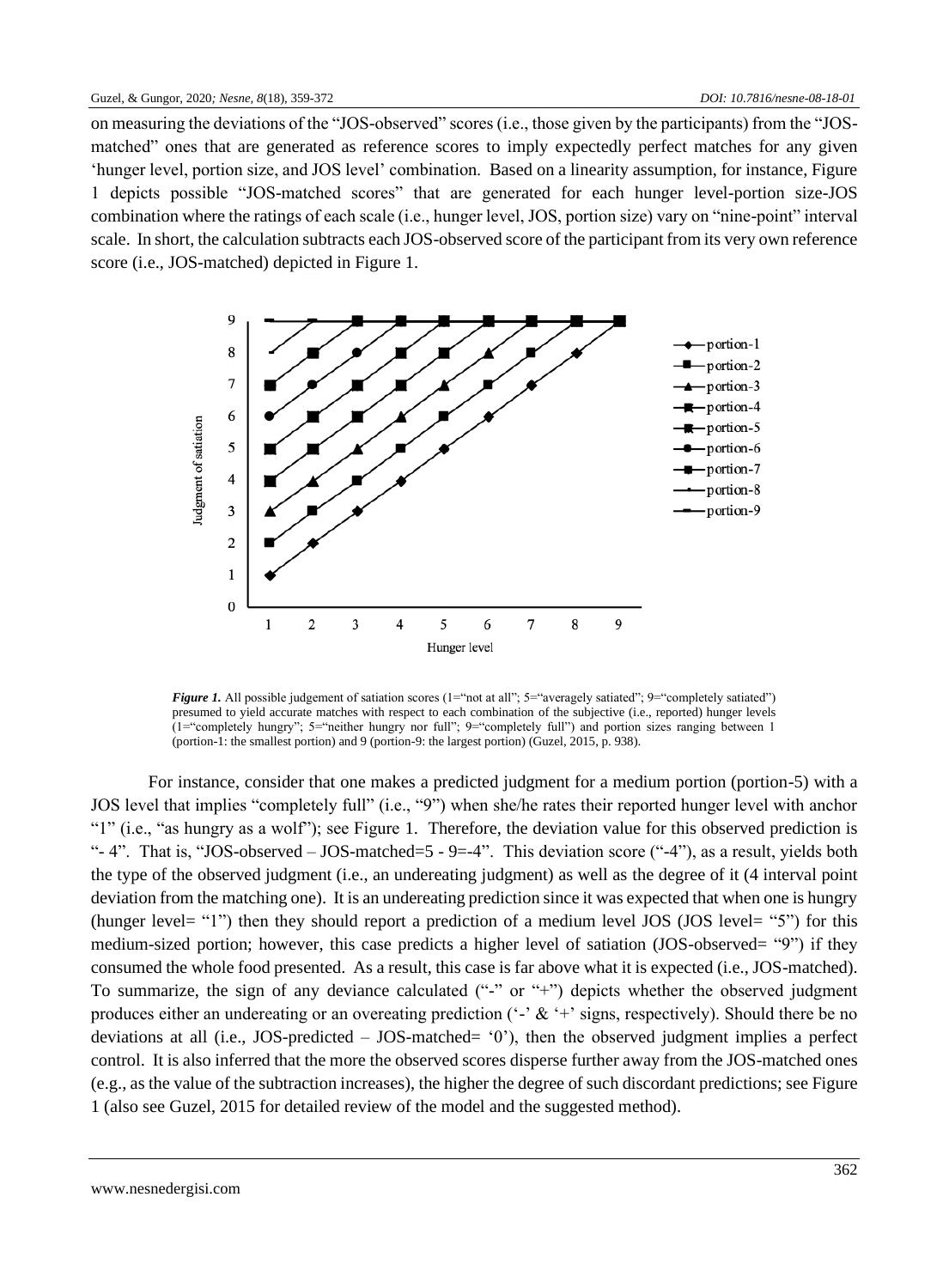on measuring the deviations of the "JOS-observed" scores (i.e., those given by the participants) from the "JOSmatched" ones that are generated as reference scores to imply expectedly perfect matches for any given 'hunger level, portion size, and JOS level' combination. Based on a linearity assumption, for instance, Figure 1 depicts possible "JOS-matched scores" that are generated for each hunger level-portion size-JOS combination where the ratings of each scale (i.e., hunger level, JOS, portion size) vary on "nine-point" interval scale. In short, the calculation subtracts each JOS-observed score of the participant from its very own reference score (i.e., JOS-matched) depicted in Figure 1.



*Figure 1.* All possible judgement of satiation scores (1="not at all"; 5="averagely satiated"; 9="completely satiated") presumed to yield accurate matches with respect to each combination of the subjective (i.e., reported) hunger levels (1="completely hungry"; 5="neither hungry nor full"; 9="completely full") and portion sizes ranging between 1 (portion-1: the smallest portion) and 9 (portion-9: the largest portion) (Guzel, 2015, p. 938).

For instance, consider that one makes a predicted judgment for a medium portion (portion-5) with a JOS level that implies "completely full" (i.e., "9") when she/he rates their reported hunger level with anchor "1" (i.e., "as hungry as a wolf"); see Figure 1. Therefore, the deviation value for this observed prediction is "-4". That is, "JOS-observed  $-$  JOS-matched=5 - 9=-4". This deviation score ("-4"), as a result, yields both the type of the observed judgment (i.e., an undereating judgment) as well as the degree of it (4 interval point deviation from the matching one). It is an undereating prediction since it was expected that when one is hungry (hunger level= "1") then they should report a prediction of a medium level JOS (JOS level= "5") for this medium-sized portion; however, this case predicts a higher level of satiation (JOS-observed= "9") if they consumed the whole food presented. As a result, this case is far above what it is expected (i.e., JOS-matched). To summarize, the sign of any deviance calculated ("-" or "+") depicts whether the observed judgment produces either an undereating or an overeating prediction ('-' & '+' signs, respectively). Should there be no deviations at all (i.e., JOS-predicted – JOS-matched= '0'), then the observed judgment implies a perfect control. It is also inferred that the more the observed scores disperse further away from the JOS-matched ones (e.g., as the value of the subtraction increases), the higher the degree of such discordant predictions; see Figure 1 (also see Guzel, 2015 for detailed review of the model and the suggested method).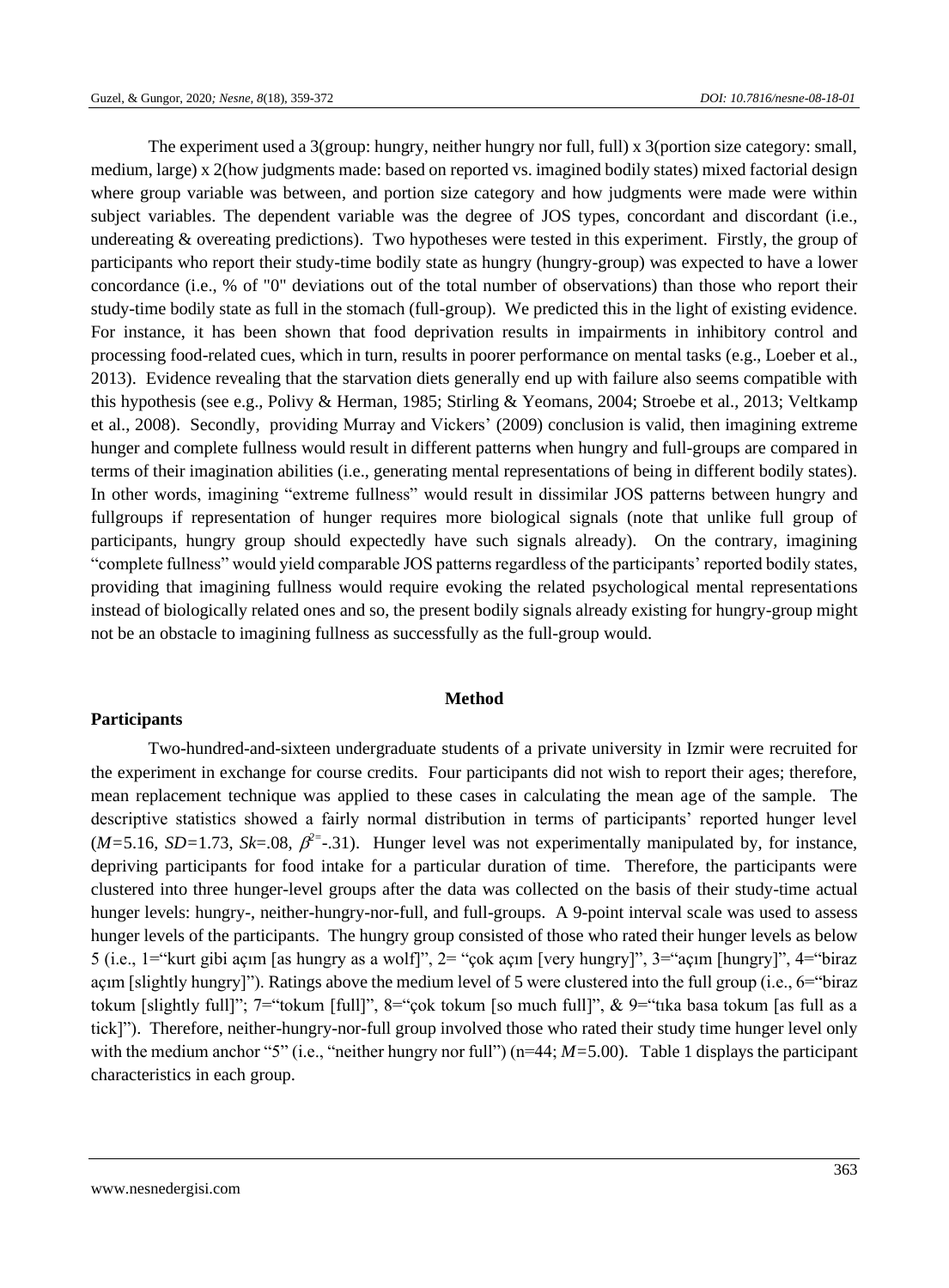The experiment used a 3(group: hungry, neither hungry nor full, full) x 3(portion size category: small, medium, large) x 2(how judgments made: based on reported vs. imagined bodily states) mixed factorial design where group variable was between, and portion size category and how judgments were made were within subject variables. The dependent variable was the degree of JOS types, concordant and discordant (i.e., undereating & overeating predictions). Two hypotheses were tested in this experiment. Firstly, the group of participants who report their study-time bodily state as hungry (hungry-group) was expected to have a lower concordance (i.e., % of "0" deviations out of the total number of observations) than those who report their study-time bodily state as full in the stomach (full-group). We predicted this in the light of existing evidence. For instance, it has been shown that food deprivation results in impairments in inhibitory control and processing food-related cues, which in turn, results in poorer performance on mental tasks (e.g., Loeber et al., 2013). Evidence revealing that the starvation diets generally end up with failure also seems compatible with this hypothesis (see e.g., Polivy & Herman, 1985; Stirling & Yeomans, 2004; Stroebe et al., 2013; Veltkamp et al., 2008). Secondly, providing Murray and Vickers' (2009) conclusion is valid, then imagining extreme hunger and complete fullness would result in different patterns when hungry and full-groups are compared in terms of their imagination abilities (i.e., generating mental representations of being in different bodily states). In other words, imagining "extreme fullness" would result in dissimilar JOS patterns between hungry and fullgroups if representation of hunger requires more biological signals (note that unlike full group of participants, hungry group should expectedly have such signals already). On the contrary, imagining "complete fullness" would yield comparable JOS patterns regardless of the participants' reported bodily states, providing that imagining fullness would require evoking the related psychological mental representations instead of biologically related ones and so, the present bodily signals already existing for hungry-group might not be an obstacle to imagining fullness as successfully as the full-group would.

## **Participants**

#### **Method**

Two-hundred-and-sixteen undergraduate students of a private university in Izmir were recruited for the experiment in exchange for course credits. Four participants did not wish to report their ages; therefore, mean replacement technique was applied to these cases in calculating the mean age of the sample. The descriptive statistics showed a fairly normal distribution in terms of participants' reported hunger level  $(M=5.16, SD=1.73, Sk=.08, \beta^2=.31)$ . Hunger level was not experimentally manipulated by, for instance, depriving participants for food intake for a particular duration of time. Therefore, the participants were clustered into three hunger-level groups after the data was collected on the basis of their study-time actual hunger levels: hungry-, neither-hungry-nor-full, and full-groups. A 9-point interval scale was used to assess hunger levels of the participants. The hungry group consisted of those who rated their hunger levels as below 5 (i.e., 1="kurt gibi açım [as hungry as a wolf]", 2= "çok açım [very hungry]", 3="açım [hungry]", 4="biraz açım [slightly hungry]"). Ratings above the medium level of 5 were clustered into the full group (i.e., 6="biraz tokum [slightly full]"; 7="tokum [full]", 8="çok tokum [so much full]", & 9="tıka basa tokum [as full as a tick]"). Therefore, neither-hungry-nor-full group involved those who rated their study time hunger level only with the medium anchor "5" (i.e., "neither hungry nor full") (n=44;  $M=5.00$ ). Table 1 displays the participant characteristics in each group.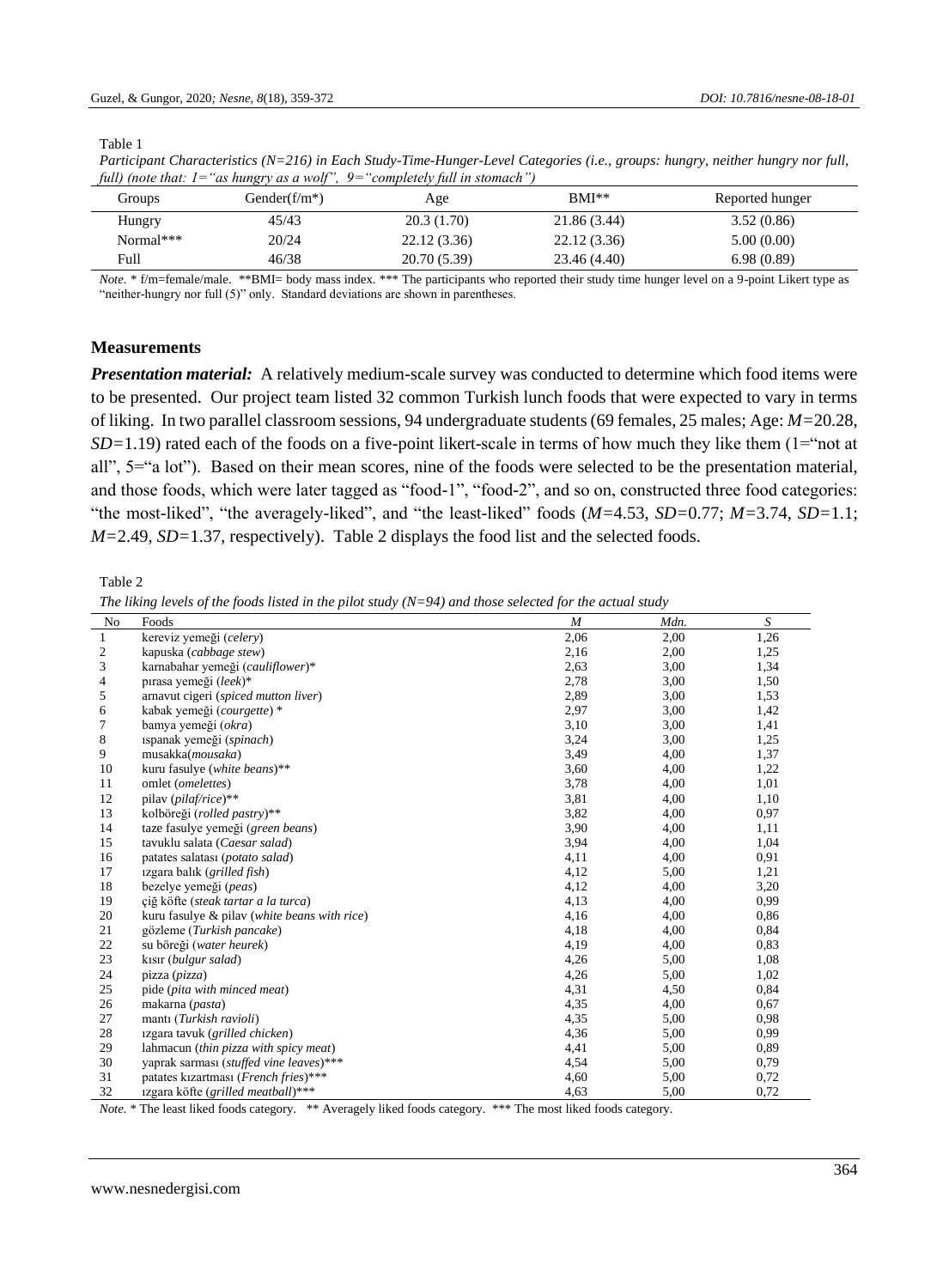Table 1

| <i>funf froit that</i> . <i>I</i> | as nangi yasa won | completely juli in siomuch |              |                 |
|-----------------------------------|-------------------|----------------------------|--------------|-----------------|
| Groups                            | Gender( $f/m^*$ ) | Age                        | $BMI**$      | Reported hunger |
| Hungry                            | 45/43             | 20.3(1.70)                 | 21.86 (3.44) | 3.52(0.86)      |
| Normal***                         | 20/24             | 22.12(3.36)                | 22.12(3.36)  | 5.00(0.00)      |
| Full                              | 46/38             | 20.70 (5.39)               | 23.46 (4.40) | 6.98(0.89)      |

*Participant Characteristics (N=216) in Each Study-Time-Hunger-Level Categories (i.e., groups: hungry, neither hungry nor full, full) (note that: 1="as hungry as a wolf", 9="completely full in stomach")*

*Note.* \* f/m=female/male. \*\*BMI= body mass index. \*\*\* The participants who reported their study time hunger level on a 9-point Likert type as "neither-hungry nor full (5)" only. Standard deviations are shown in parentheses.

## **Measurements**

*Presentation material:* A relatively medium-scale survey was conducted to determine which food items were to be presented. Our project team listed 32 common Turkish lunch foods that were expected to vary in terms of liking. In two parallel classroom sessions, 94 undergraduate students (69 females, 25 males; Age: *M=*20.28, *SD*=1.19) rated each of the foods on a five-point likert-scale in terms of how much they like them (1="not at all", 5="a lot"). Based on their mean scores, nine of the foods were selected to be the presentation material, and those foods, which were later tagged as "food-1", "food-2", and so on, constructed three food categories: "the most-liked", "the averagely-liked", and "the least-liked" foods (*M=*4.53, *SD=*0.77; *M=*3.74, *SD=*1.1; *M=*2.49, *SD=*1.37, respectively). Table 2 displays the food list and the selected foods.

Table 2

*The liking levels of the foods listed in the pilot study (N=94) and those selected for the actual study*

| N <sub>0</sub> | Foods                                        | $\boldsymbol{M}$ | Mdn. | S    |
|----------------|----------------------------------------------|------------------|------|------|
| 1              | kereviz yemeği (celery)                      | 2,06             | 2,00 | 1,26 |
| $\mathfrak{2}$ | kapuska (cabbage stew)                       | 2,16             | 2,00 | 1,25 |
| 3              | karnabahar yemeği (cauliflower)*             | 2,63             | 3,00 | 1,34 |
| 4              | pirasa yemeği (leek)*                        | 2,78             | 3,00 | 1,50 |
| 5              | arnavut cigeri (spiced mutton liver)         | 2,89             | 3,00 | 1,53 |
| 6              | kabak yemeği (courgette) *                   | 2,97             | 3,00 | 1,42 |
| 7              | bamya yemeği (okra)                          | 3,10             | 3,00 | 1,41 |
| 8              | ispanak yemeği (spinach)                     | 3,24             | 3,00 | 1,25 |
| 9              | musakka( <i>mousaka</i> )                    | 3,49             | 4,00 | 1,37 |
| 10             | kuru fasulye (white beans)**                 | 3,60             | 4,00 | 1,22 |
| 11             | omlet (omelettes)                            | 3,78             | 4,00 | 1,01 |
| 12             | pilav (pilaf/rice)**                         | 3,81             | 4,00 | 1,10 |
| 13             | kolböreği (rolled pastry)**                  | 3,82             | 4,00 | 0,97 |
| 14             | taze fasulye yemeği (green beans)            | 3,90             | 4,00 | 1,11 |
| 15             | tavuklu salata (Caesar salad)                | 3,94             | 4,00 | 1,04 |
| 16             | patates salatası (potato salad)              | 4,11             | 4,00 | 0,91 |
| 17             | izgara balik (grilled fish)                  | 4,12             | 5,00 | 1,21 |
| 18             | bezelye yemeği (peas)                        | 4,12             | 4,00 | 3,20 |
| 19             | çiğ köfte (steak tartar a la turca)          | 4,13             | 4,00 | 0.99 |
| 20             | kuru fasulye & pilav (white beans with rice) | 4,16             | 4,00 | 0,86 |
| 21             | gözleme (Turkish pancake)                    | 4,18             | 4,00 | 0,84 |
| 22             | su böreği (water heurek)                     | 4,19             | 4,00 | 0.83 |
| 23             | kisir (bulgur salad)                         | 4,26             | 5,00 | 1,08 |
| 24             | pizza (pizza)                                | 4,26             | 5,00 | 1,02 |
| 25             | pide (pita with minced meat)                 | 4,31             | 4,50 | 0,84 |
| 26             | makarna (pasta)                              | 4,35             | 4,00 | 0,67 |
| 27             | mantı (Turkish ravioli)                      | 4,35             | 5,00 | 0.98 |
| 28             | izgara tavuk (grilled chicken)               | 4,36             | 5,00 | 0,99 |
| 29             | lahmacun (thin pizza with spicy meat)        | 4,41             | 5,00 | 0.89 |
| 30             | yaprak sarması (stuffed vine leaves)***      | 4,54             | 5,00 | 0,79 |
| 31             | patates kizartması (French fries)***         | 4,60             | 5,00 | 0,72 |
| 32             | 1zgara köfte (grilled meatball)***           | 4,63             | 5,00 | 0,72 |

*Note.* \* The least liked foods category. \*\* Averagely liked foods category. \*\*\* The most liked foods category.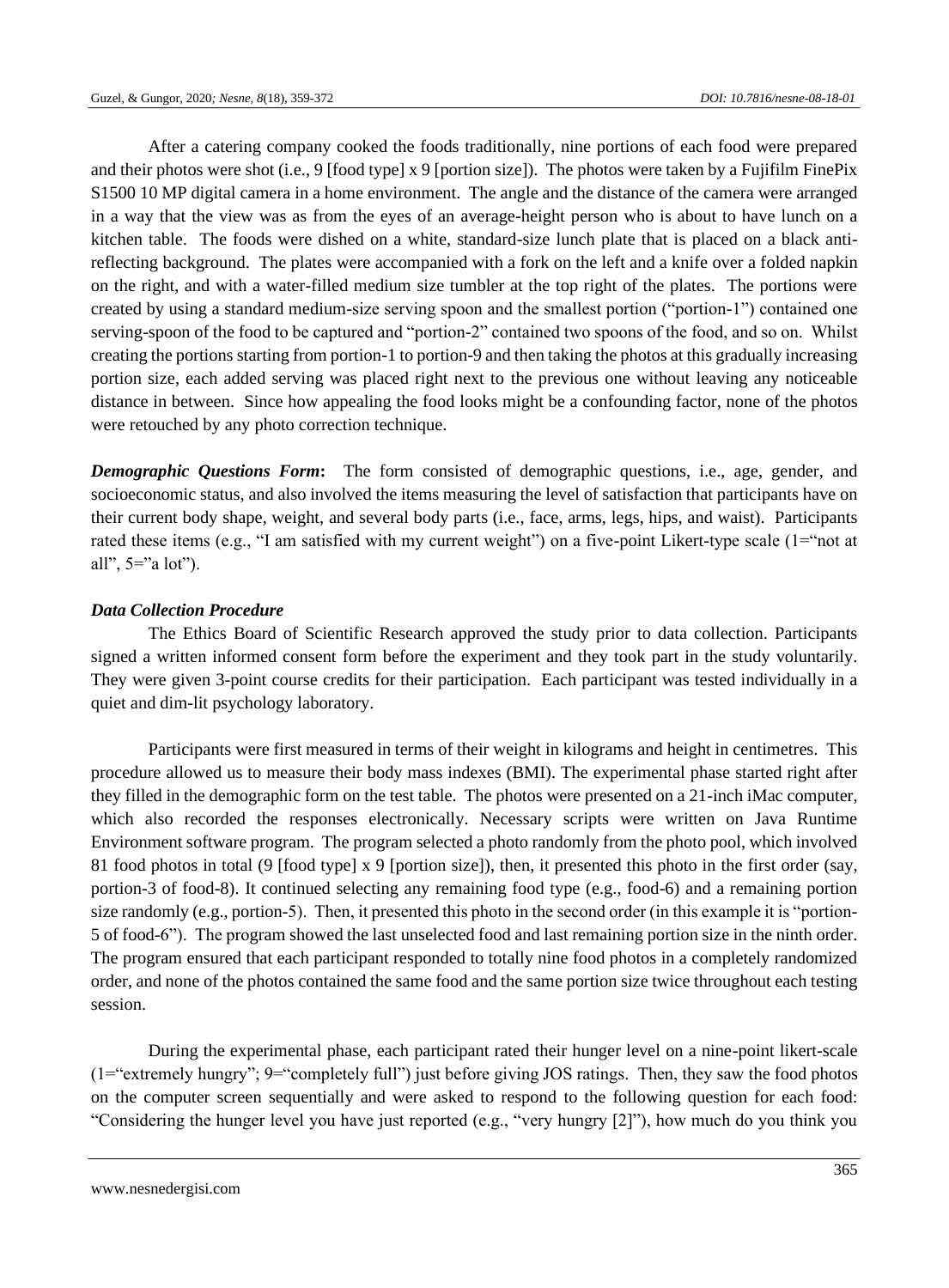After a catering company cooked the foods traditionally, nine portions of each food were prepared and their photos were shot (i.e., 9 [food type] x 9 [portion size]). The photos were taken by a Fujifilm FinePix S1500 10 MP digital camera in a home environment. The angle and the distance of the camera were arranged in a way that the view was as from the eyes of an average-height person who is about to have lunch on a kitchen table. The foods were dished on a white, standard-size lunch plate that is placed on a black antireflecting background. The plates were accompanied with a fork on the left and a knife over a folded napkin on the right, and with a water-filled medium size tumbler at the top right of the plates. The portions were created by using a standard medium-size serving spoon and the smallest portion ("portion-1") contained one serving-spoon of the food to be captured and "portion-2" contained two spoons of the food, and so on. Whilst creating the portions starting from portion-1 to portion-9 and then taking the photos at this gradually increasing portion size, each added serving was placed right next to the previous one without leaving any noticeable distance in between. Since how appealing the food looks might be a confounding factor, none of the photos were retouched by any photo correction technique.

*Demographic Questions Form***:** The form consisted of demographic questions, i.e., age, gender, and socioeconomic status, and also involved the items measuring the level of satisfaction that participants have on their current body shape, weight, and several body parts (i.e., face, arms, legs, hips, and waist). Participants rated these items (e.g., "I am satisfied with my current weight") on a five-point Likert-type scale (1="not at all",  $5="a$  lot").

## *Data Collection Procedure*

The Ethics Board of Scientific Research approved the study prior to data collection. Participants signed a written informed consent form before the experiment and they took part in the study voluntarily. They were given 3-point course credits for their participation. Each participant was tested individually in a quiet and dim-lit psychology laboratory.

Participants were first measured in terms of their weight in kilograms and height in centimetres. This procedure allowed us to measure their body mass indexes (BMI). The experimental phase started right after they filled in the demographic form on the test table. The photos were presented on a 21-inch iMac computer, which also recorded the responses electronically. Necessary scripts were written on Java Runtime Environment software program. The program selected a photo randomly from the photo pool, which involved 81 food photos in total (9 [food type] x 9 [portion size]), then, it presented this photo in the first order (say, portion-3 of food-8). It continued selecting any remaining food type (e.g., food-6) and a remaining portion size randomly (e.g., portion-5). Then, it presented this photo in the second order (in this example it is "portion-5 of food-6"). The program showed the last unselected food and last remaining portion size in the ninth order. The program ensured that each participant responded to totally nine food photos in a completely randomized order, and none of the photos contained the same food and the same portion size twice throughout each testing session.

During the experimental phase, each participant rated their hunger level on a nine-point likert-scale (1="extremely hungry"; 9="completely full") just before giving JOS ratings. Then, they saw the food photos on the computer screen sequentially and were asked to respond to the following question for each food: "Considering the hunger level you have just reported (e.g., "very hungry  $[2]$ "), how much do you think you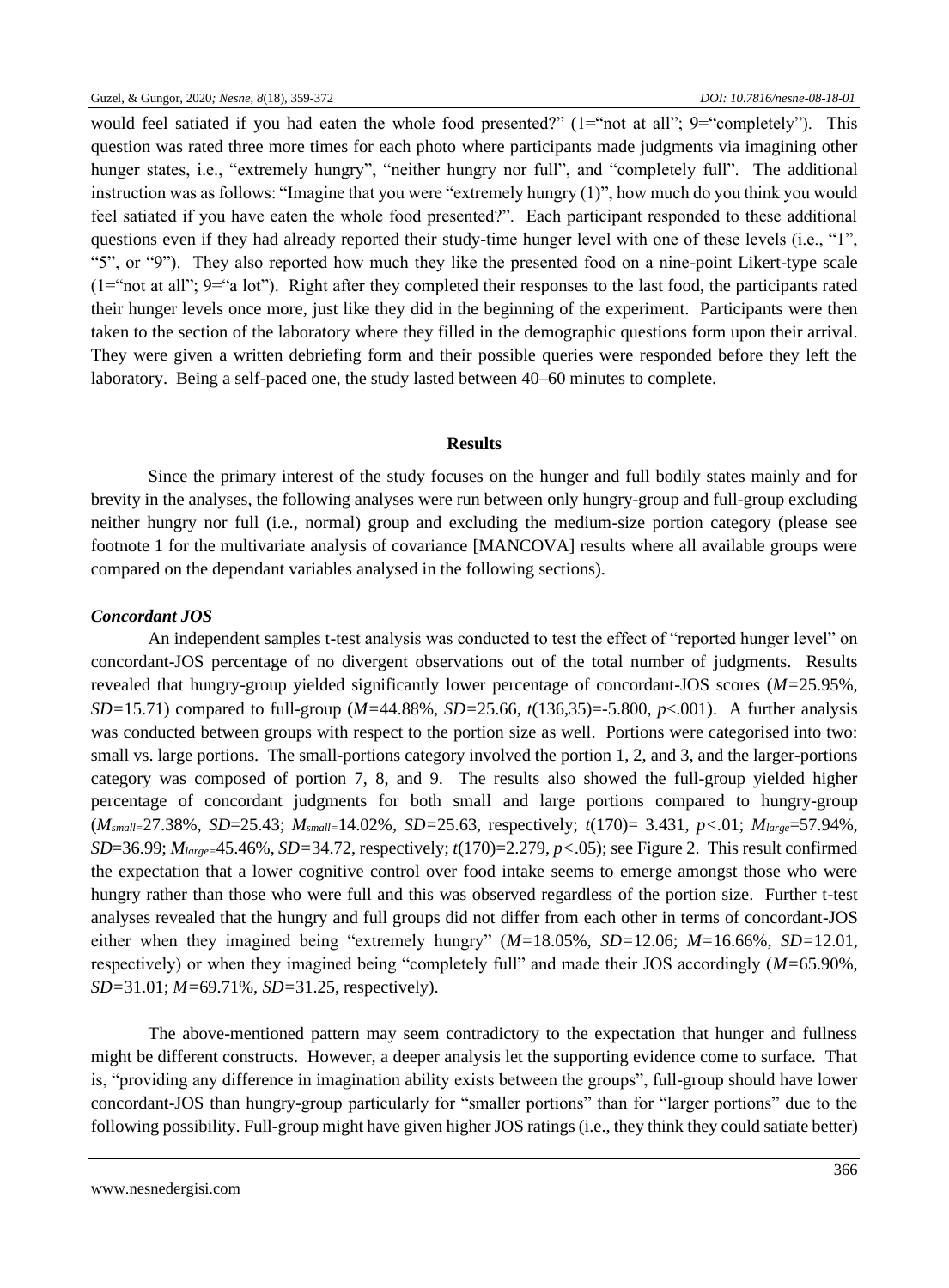would feel satiated if you had eaten the whole food presented?" (1="not at all"; 9="completely"). This question was rated three more times for each photo where participants made judgments via imagining other hunger states, i.e., "extremely hungry", "neither hungry nor full", and "completely full". The additional instruction was as follows: "Imagine that you were "extremely hungry (1)", how much do you think you would feel satiated if you have eaten the whole food presented?". Each participant responded to these additional questions even if they had already reported their study-time hunger level with one of these levels (i.e., "1", "5", or "9"). They also reported how much they like the presented food on a nine-point Likert-type scale  $(1="text{iv})$  at all";  $9="text{v})$ . Right after they completed their responses to the last food, the participants rated their hunger levels once more, just like they did in the beginning of the experiment. Participants were then taken to the section of the laboratory where they filled in the demographic questions form upon their arrival. They were given a written debriefing form and their possible queries were responded before they left the laboratory. Being a self-paced one, the study lasted between 40–60 minutes to complete.

## **Results**

Since the primary interest of the study focuses on the hunger and full bodily states mainly and for brevity in the analyses, the following analyses were run between only hungry-group and full-group excluding neither hungry nor full (i.e., normal) group and excluding the medium-size portion category (please see footnote 1 for the multivariate analysis of covariance [MANCOVA] results where all available groups were compared on the dependant variables analysed in the following sections).

## *Concordant JOS*

An independent samples t-test analysis was conducted to test the effect of "reported hunger level" on concordant-JOS percentage of no divergent observations out of the total number of judgments. Results revealed that hungry-group yielded significantly lower percentage of concordant-JOS scores (*M=*25.95%, *SD=*15.71) compared to full-group (*M=*44.88%, *SD=*25.66, *t*(136,35)=-5.800, *p*<.001). A further analysis was conducted between groups with respect to the portion size as well. Portions were categorised into two: small vs. large portions. The small-portions category involved the portion 1, 2, and 3, and the larger-portions category was composed of portion 7, 8, and 9. The results also showed the full-group yielded higher percentage of concordant judgments for both small and large portions compared to hungry-group (*Msmall=*27.38%, *SD*=25.43; *Msmall=*14.02%, *SD=*25.63, respectively; *t*(170)= 3.431, *p<.*01; *Mlarge*=57.94%, *SD*=36.99; *Mlarge=*45.46%, *SD=*34.72, respectively; *t*(170)=2.279, *p<*.05); see Figure 2. This result confirmed the expectation that a lower cognitive control over food intake seems to emerge amongst those who were hungry rather than those who were full and this was observed regardless of the portion size. Further t-test analyses revealed that the hungry and full groups did not differ from each other in terms of concordant-JOS either when they imagined being "extremely hungry" (*M=*18.05%, *SD=*12.06; *M=*16.66%, *SD=*12.01, respectively) or when they imagined being "completely full" and made their JOS accordingly (*M=*65.90%, *SD=*31.01; *M=*69.71%, *SD=*31.25, respectively).

The above-mentioned pattern may seem contradictory to the expectation that hunger and fullness might be different constructs. However, a deeper analysis let the supporting evidence come to surface. That is, "providing any difference in imagination ability exists between the groups", full-group should have lower concordant-JOS than hungry-group particularly for "smaller portions" than for "larger portions" due to the following possibility. Full-group might have given higher JOS ratings (i.e., they think they could satiate better)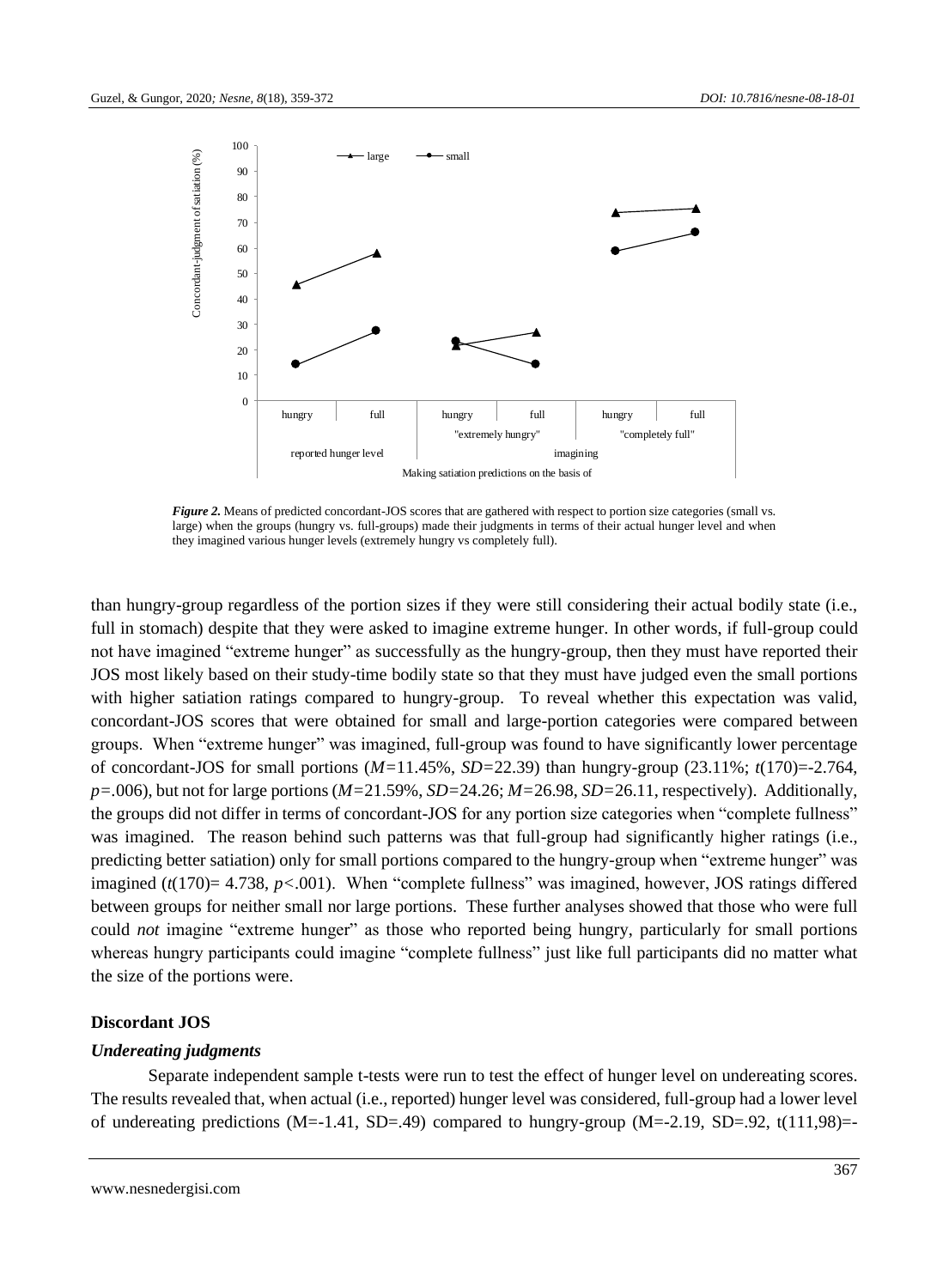

*Figure 2.* Means of predicted concordant-JOS scores that are gathered with respect to portion size categories (small vs. large) when the groups (hungry vs. full-groups) made their judgments in terms of their actual hunger level and when they imagined various hunger levels (extremely hungry vs completely full).

than hungry-group regardless of the portion sizes if they were still considering their actual bodily state (i.e., full in stomach) despite that they were asked to imagine extreme hunger. In other words, if full-group could not have imagined "extreme hunger" as successfully as the hungry-group, then they must have reported their JOS most likely based on their study-time bodily state so that they must have judged even the small portions with higher satiation ratings compared to hungry-group. To reveal whether this expectation was valid, concordant-JOS scores that were obtained for small and large-portion categories were compared between groups. When "extreme hunger" was imagined, full-group was found to have significantly lower percentage of concordant-JOS for small portions (*M=*11.45%, *SD=*22.39) than hungry-group (23.11%; *t*(170)=-2.764, *p=.*006), but not for large portions (*M=*21.59%, *SD=*24.26; *M=*26.98, *SD=*26.11, respectively). Additionally, the groups did not differ in terms of concordant-JOS for any portion size categories when "complete fullness" was imagined. The reason behind such patterns was that full-group had significantly higher ratings (i.e., predicting better satiation) only for small portions compared to the hungry-group when "extreme hunger" was imagined (*t*(170) = 4.738, *p*<.001). When "complete fullness" was imagined, however, JOS ratings differed between groups for neither small nor large portions. These further analyses showed that those who were full could *not* imagine "extreme hunger" as those who reported being hungry, particularly for small portions whereas hungry participants could imagine "complete fullness" just like full participants did no matter what the size of the portions were.

## **Discordant JOS**

## *Undereating judgments*

Separate independent sample t-tests were run to test the effect of hunger level on undereating scores. The results revealed that, when actual (i.e., reported) hunger level was considered, full-group had a lower level of undereating predictions (M=-1.41, SD=.49) compared to hungry-group (M=-2.19, SD=.92, t(111,98)=-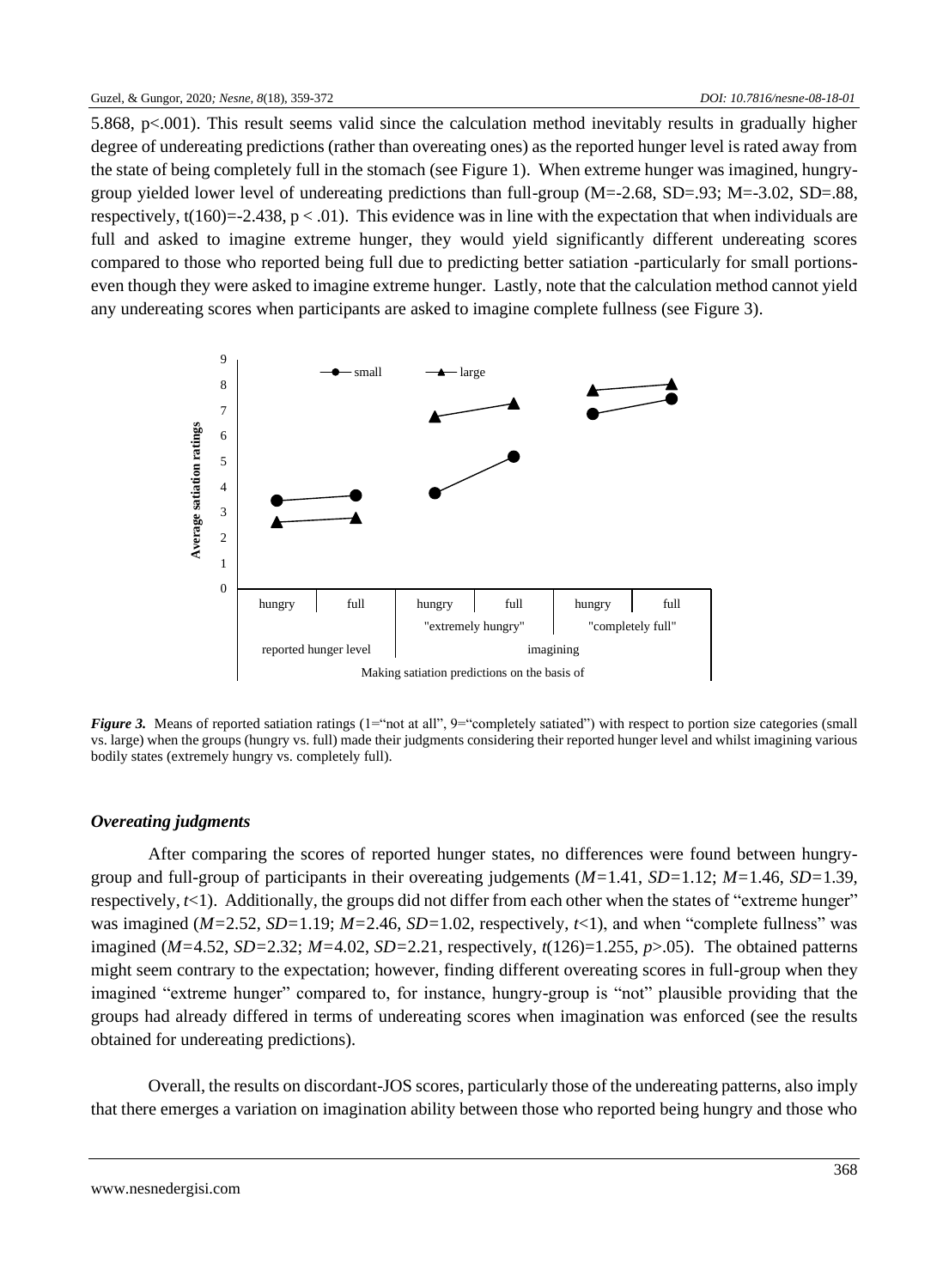5.868, p<.001). This result seems valid since the calculation method inevitably results in gradually higher degree of undereating predictions (rather than overeating ones) as the reported hunger level is rated away from the state of being completely full in the stomach (see Figure 1). When extreme hunger was imagined, hungrygroup yielded lower level of undereating predictions than full-group  $(M=-2.68, SD=.93; M=-3.02, SD=.88$ , respectively,  $t(160)=2.438$ ,  $p < .01$ ). This evidence was in line with the expectation that when individuals are full and asked to imagine extreme hunger, they would yield significantly different undereating scores compared to those who reported being full due to predicting better satiation -particularly for small portionseven though they were asked to imagine extreme hunger. Lastly, note that the calculation method cannot yield any undereating scores when participants are asked to imagine complete fullness (see Figure 3).



*Figure 3.* Means of reported satiation ratings (1="not at all", 9="completely satiated") with respect to portion size categories (small vs. large) when the groups (hungry vs. full) made their judgments considering their reported hunger level and whilst imagining various bodily states (extremely hungry vs. completely full).

## *Overeating judgments*

After comparing the scores of reported hunger states, no differences were found between hungrygroup and full-group of participants in their overeating judgements (*M=*1.41, *SD=*1.12; *M=*1.46, *SD=*1.39, respectively,  $t \leq 1$ ). Additionally, the groups did not differ from each other when the states of "extreme hunger" was imagined ( $M=2.52$ ,  $SD=1.19$ ;  $M=2.46$ ,  $SD=1.02$ , respectively,  $t<1$ ), and when "complete fullness" was imagined (*M=*4.52, *SD=*2.32; *M=*4.02, *SD=*2.21, respectively, *t*(126)=1.255, *p*>.05). The obtained patterns might seem contrary to the expectation; however, finding different overeating scores in full-group when they imagined "extreme hunger" compared to, for instance, hungry-group is "not" plausible providing that the groups had already differed in terms of undereating scores when imagination was enforced (see the results obtained for undereating predictions).

Overall, the results on discordant-JOS scores, particularly those of the undereating patterns, also imply that there emerges a variation on imagination ability between those who reported being hungry and those who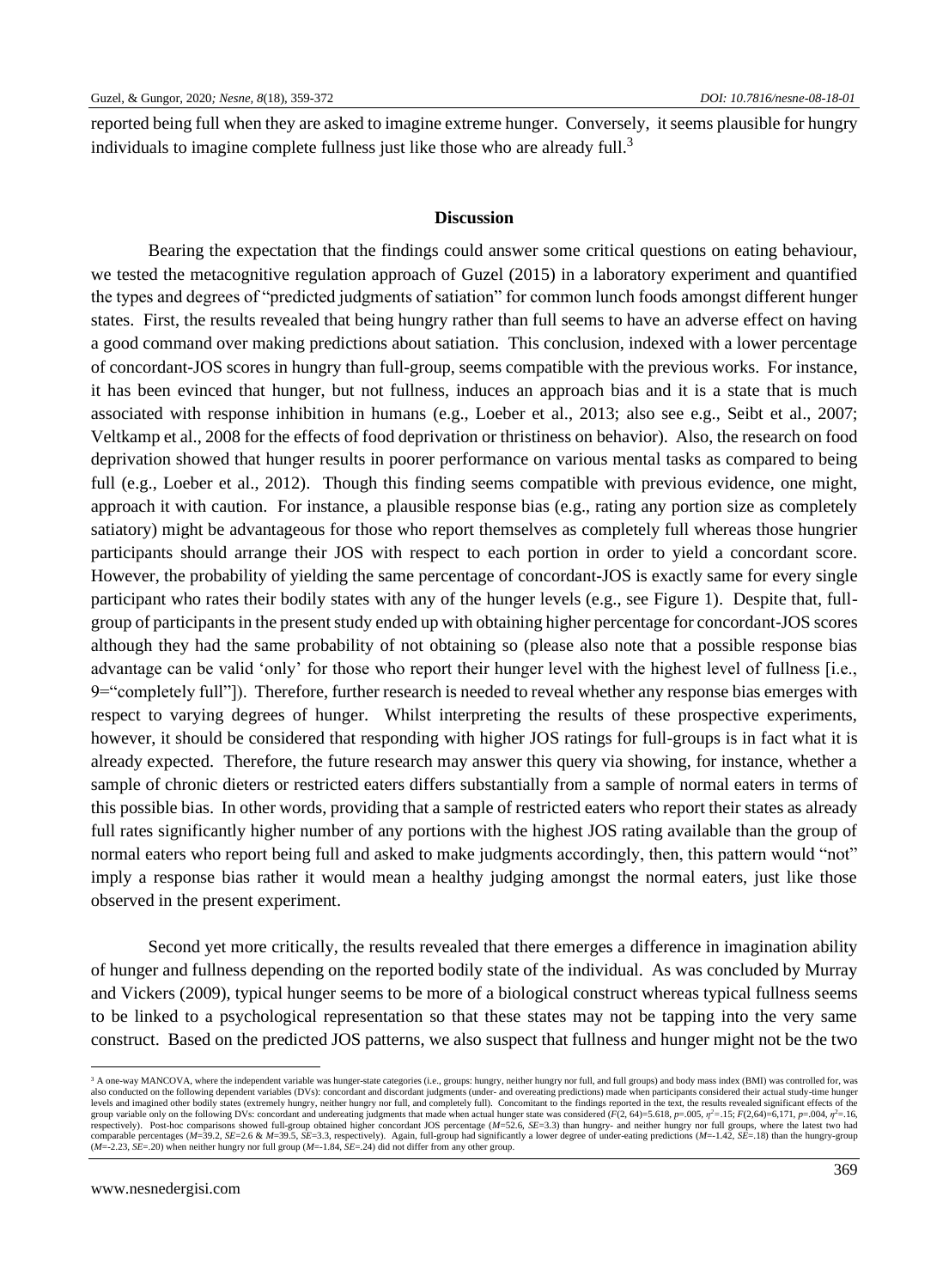reported being full when they are asked to imagine extreme hunger. Conversely, it seems plausible for hungry individuals to imagine complete fullness just like those who are already full.<sup>3</sup>

#### **Discussion**

Bearing the expectation that the findings could answer some critical questions on eating behaviour, we tested the metacognitive regulation approach of Guzel (2015) in a laboratory experiment and quantified the types and degrees of "predicted judgments of satiation" for common lunch foods amongst different hunger states. First, the results revealed that being hungry rather than full seems to have an adverse effect on having a good command over making predictions about satiation. This conclusion, indexed with a lower percentage of concordant-JOS scores in hungry than full-group, seems compatible with the previous works. For instance, it has been evinced that hunger, but not fullness, induces an approach bias and it is a state that is much associated with response inhibition in humans (e.g., Loeber et al., 2013; also see e.g., Seibt et al., 2007; Veltkamp et al., 2008 for the effects of food deprivation or thristiness on behavior). Also, the research on food deprivation showed that hunger results in poorer performance on various mental tasks as compared to being full (e.g., Loeber et al., 2012). Though this finding seems compatible with previous evidence, one might, approach it with caution. For instance, a plausible response bias (e.g., rating any portion size as completely satiatory) might be advantageous for those who report themselves as completely full whereas those hungrier participants should arrange their JOS with respect to each portion in order to yield a concordant score. However, the probability of yielding the same percentage of concordant-JOS is exactly same for every single participant who rates their bodily states with any of the hunger levels (e.g., see Figure 1). Despite that, fullgroup of participants in the present study ended up with obtaining higher percentage for concordant-JOS scores although they had the same probability of not obtaining so (please also note that a possible response bias advantage can be valid 'only' for those who report their hunger level with the highest level of fullness [i.e., 9="completely full"]). Therefore, further research is needed to reveal whether any response bias emerges with respect to varying degrees of hunger. Whilst interpreting the results of these prospective experiments, however, it should be considered that responding with higher JOS ratings for full-groups is in fact what it is already expected. Therefore, the future research may answer this query via showing, for instance, whether a sample of chronic dieters or restricted eaters differs substantially from a sample of normal eaters in terms of this possible bias. In other words, providing that a sample of restricted eaters who report their states as already full rates significantly higher number of any portions with the highest JOS rating available than the group of normal eaters who report being full and asked to make judgments accordingly, then, this pattern would "not" imply a response bias rather it would mean a healthy judging amongst the normal eaters, just like those observed in the present experiment.

Second yet more critically, the results revealed that there emerges a difference in imagination ability of hunger and fullness depending on the reported bodily state of the individual. As was concluded by Murray and Vickers (2009), typical hunger seems to be more of a biological construct whereas typical fullness seems to be linked to a psychological representation so that these states may not be tapping into the very same construct. Based on the predicted JOS patterns, we also suspect that fullness and hunger might not be the two

<sup>&</sup>lt;sup>3</sup> A one-way MANCOVA, where the independent variable was hunger-state categories (i.e., groups: hungry, neither hungry nor full, and full groups) and body mass index (BMI) was controlled for, was also conducted on the following dependent variables (DVs): concordant and discordant judgments (under- and overeating predictions) made when participants considered their actual study-time hunger<br>levels and imagined other group variable only on the following DVs: concordant and undereating judgments that made when actual hunger state was considered ( $F(2, 64) = 5.618$ ,  $p = .005$ ,  $p^2 = .15$ ;  $F(2, 64) = 6,171$ ,  $p = .004$ ,  $\eta^2 = .16$ , respectively). Post-hoc comparisons showed full-group obtained higher concordant JOS percentage (*M*=52.6, *SE*=3.3) than hungry- and neither hungry nor full groups, where the latest two had comparable percentages (M=39.2, SE=2.6 & M=39.5, SE=3.3, respectively). Again, full-group had significantly a lower degree of under-eating predictions (M=-1.42, SE=.18) than the hungry-group (M=-2.23, SE=.20) when neither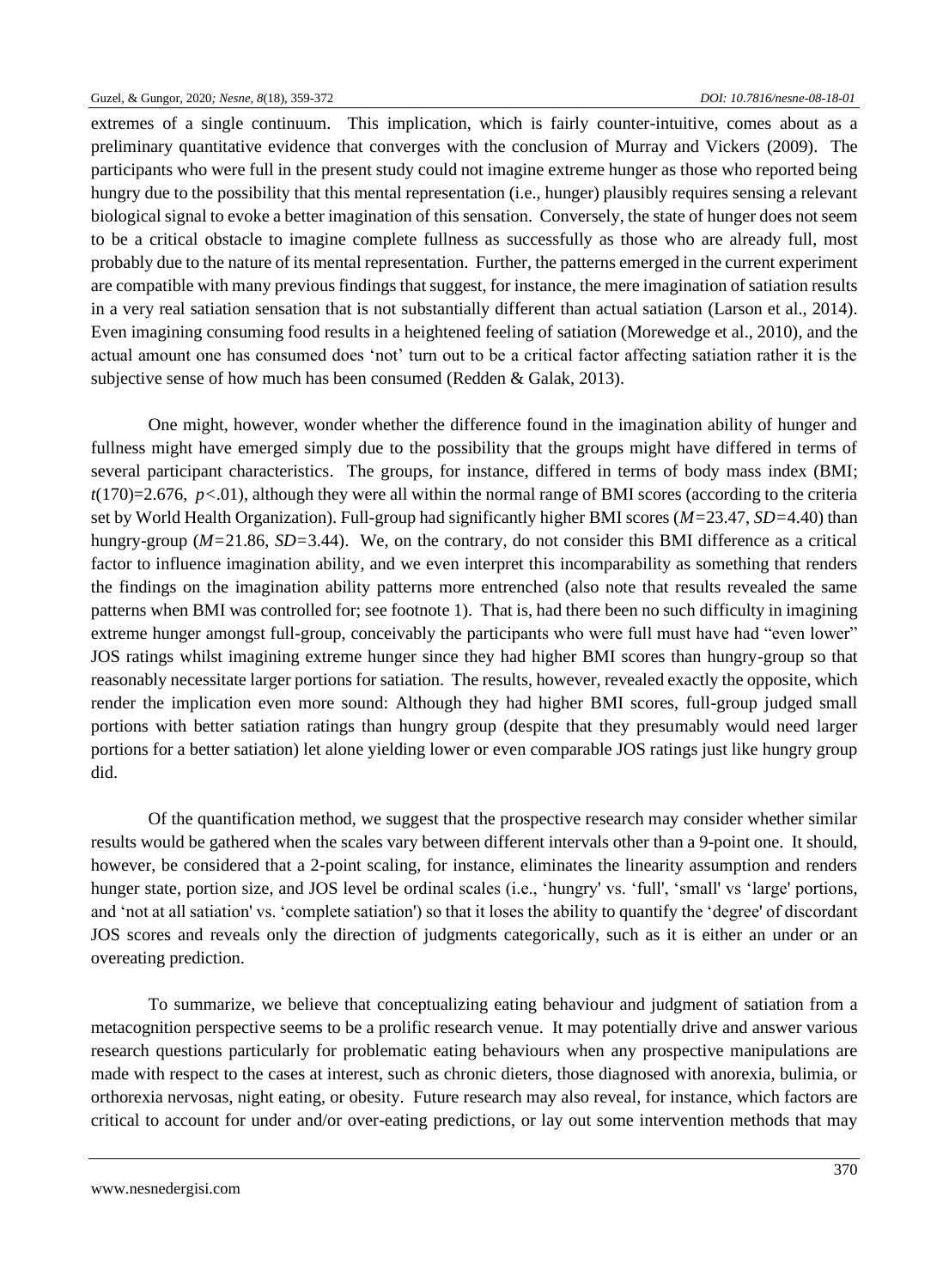extremes of a single continuum. This implication, which is fairly counter-intuitive, comes about as a preliminary quantitative evidence that converges with the conclusion of Murray and Vickers (2009). The participants who were full in the present study could not imagine extreme hunger as those who reported being hungry due to the possibility that this mental representation (i.e., hunger) plausibly requires sensing a relevant biological signal to evoke a better imagination of this sensation. Conversely, the state of hunger does not seem to be a critical obstacle to imagine complete fullness as successfully as those who are already full, most probably due to the nature of its mental representation. Further, the patterns emerged in the current experiment are compatible with many previous findings that suggest, for instance, the mere imagination of satiation results in a very real satiation sensation that is not substantially different than actual satiation (Larson et al., 2014). Even imagining consuming food results in a heightened feeling of satiation (Morewedge et al., 2010), and the actual amount one has consumed does 'not' turn out to be a critical factor affecting satiation rather it is the subjective sense of how much has been consumed (Redden & Galak, 2013).

One might, however, wonder whether the difference found in the imagination ability of hunger and fullness might have emerged simply due to the possibility that the groups might have differed in terms of several participant characteristics. The groups, for instance, differed in terms of body mass index (BMI; *t*(170)=2.676, *p<*.01), although they were all within the normal range of BMI scores (according to the criteria set by World Health Organization). Full-group had significantly higher BMI scores (*M=*23.47, *SD=*4.40) than hungry-group (*M=*21.86, *SD=*3.44). We, on the contrary, do not consider this BMI difference as a critical factor to influence imagination ability, and we even interpret this incomparability as something that renders the findings on the imagination ability patterns more entrenched (also note that results revealed the same patterns when BMI was controlled for; see footnote 1). That is, had there been no such difficulty in imagining extreme hunger amongst full-group, conceivably the participants who were full must have had "even lower" JOS ratings whilst imagining extreme hunger since they had higher BMI scores than hungry-group so that reasonably necessitate larger portions for satiation. The results, however, revealed exactly the opposite, which render the implication even more sound: Although they had higher BMI scores, full-group judged small portions with better satiation ratings than hungry group (despite that they presumably would need larger portions for a better satiation) let alone yielding lower or even comparable JOS ratings just like hungry group did.

Of the quantification method, we suggest that the prospective research may consider whether similar results would be gathered when the scales vary between different intervals other than a 9-point one. It should, however, be considered that a 2-point scaling, for instance, eliminates the linearity assumption and renders hunger state, portion size, and JOS level be ordinal scales (i.e., 'hungry' vs. 'full', 'small' vs 'large' portions, and 'not at all satiation' vs. 'complete satiation') so that it loses the ability to quantify the 'degree' of discordant JOS scores and reveals only the direction of judgments categorically, such as it is either an under or an overeating prediction.

To summarize, we believe that conceptualizing eating behaviour and judgment of satiation from a metacognition perspective seems to be a prolific research venue. It may potentially drive and answer various research questions particularly for problematic eating behaviours when any prospective manipulations are made with respect to the cases at interest, such as chronic dieters, those diagnosed with anorexia, bulimia, or orthorexia nervosas, night eating, or obesity. Future research may also reveal, for instance, which factors are critical to account for under and/or over-eating predictions, or lay out some intervention methods that may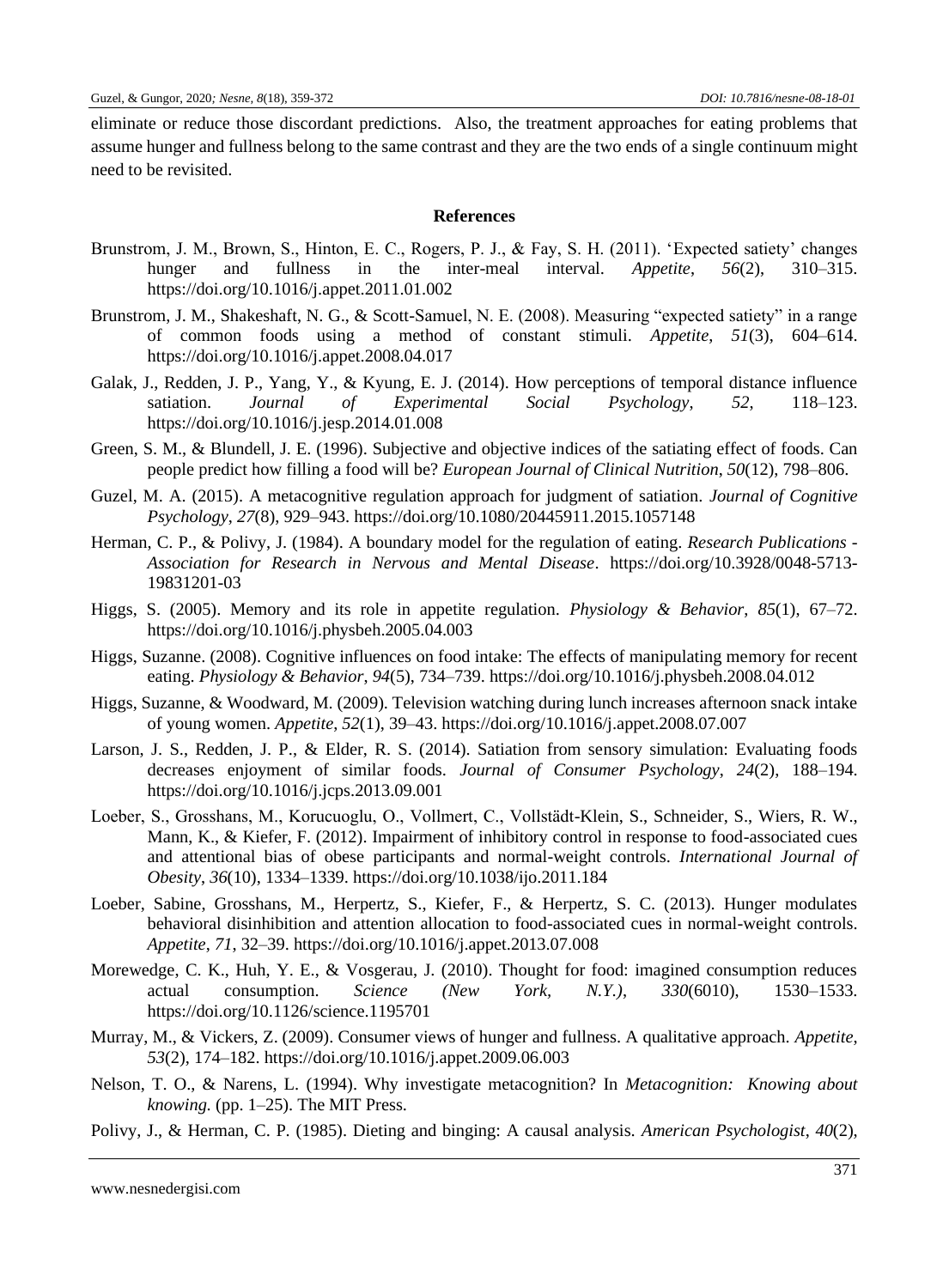eliminate or reduce those discordant predictions. Also, the treatment approaches for eating problems that assume hunger and fullness belong to the same contrast and they are the two ends of a single continuum might need to be revisited.

## **References**

- Brunstrom, J. M., Brown, S., Hinton, E. C., Rogers, P. J., & Fay, S. H. (2011). 'Expected satiety' changes hunger and fullness in the inter-meal interval. *Appetite*, *56*(2), 310–315. https://doi.org/10.1016/j.appet.2011.01.002
- Brunstrom, J. M., Shakeshaft, N. G., & Scott-Samuel, N. E. (2008). Measuring "expected satiety" in a range of common foods using a method of constant stimuli. *Appetite*, *51*(3), 604–614. https://doi.org/10.1016/j.appet.2008.04.017
- Galak, J., Redden, J. P., Yang, Y., & Kyung, E. J. (2014). How perceptions of temporal distance influence satiation. *Journal of Experimental Social Psychology*, *52*, 118–123. https://doi.org/10.1016/j.jesp.2014.01.008
- Green, S. M., & Blundell, J. E. (1996). Subjective and objective indices of the satiating effect of foods. Can people predict how filling a food will be? *European Journal of Clinical Nutrition*, *50*(12), 798–806.
- Guzel, M. A. (2015). A metacognitive regulation approach for judgment of satiation. *Journal of Cognitive Psychology*, *27*(8), 929–943. https://doi.org/10.1080/20445911.2015.1057148
- Herman, C. P., & Polivy, J. (1984). A boundary model for the regulation of eating. *Research Publications - Association for Research in Nervous and Mental Disease*. https://doi.org/10.3928/0048-5713- 19831201-03
- Higgs, S. (2005). Memory and its role in appetite regulation. *Physiology & Behavior*, *85*(1), 67–72. https://doi.org/10.1016/j.physbeh.2005.04.003
- Higgs, Suzanne. (2008). Cognitive influences on food intake: The effects of manipulating memory for recent eating. *Physiology & Behavior*, *94*(5), 734–739. https://doi.org/10.1016/j.physbeh.2008.04.012
- Higgs, Suzanne, & Woodward, M. (2009). Television watching during lunch increases afternoon snack intake of young women. *Appetite*, *52*(1), 39–43. https://doi.org/10.1016/j.appet.2008.07.007
- Larson, J. S., Redden, J. P., & Elder, R. S. (2014). Satiation from sensory simulation: Evaluating foods decreases enjoyment of similar foods. *Journal of Consumer Psychology*, *24*(2), 188–194. https://doi.org/10.1016/j.jcps.2013.09.001
- Loeber, S., Grosshans, M., Korucuoglu, O., Vollmert, C., Vollstädt-Klein, S., Schneider, S., Wiers, R. W., Mann, K., & Kiefer, F. (2012). Impairment of inhibitory control in response to food-associated cues and attentional bias of obese participants and normal-weight controls. *International Journal of Obesity*, *36*(10), 1334–1339. https://doi.org/10.1038/ijo.2011.184
- Loeber, Sabine, Grosshans, M., Herpertz, S., Kiefer, F., & Herpertz, S. C. (2013). Hunger modulates behavioral disinhibition and attention allocation to food-associated cues in normal-weight controls. *Appetite*, *71*, 32–39. https://doi.org/10.1016/j.appet.2013.07.008
- Morewedge, C. K., Huh, Y. E., & Vosgerau, J. (2010). Thought for food: imagined consumption reduces actual consumption. *Science (New York, N.Y.)*, *330*(6010), 1530–1533. https://doi.org/10.1126/science.1195701
- Murray, M., & Vickers, Z. (2009). Consumer views of hunger and fullness. A qualitative approach. *Appetite*, *53*(2), 174–182. https://doi.org/10.1016/j.appet.2009.06.003
- Nelson, T. O., & Narens, L. (1994). Why investigate metacognition? In *Metacognition: Knowing about knowing.* (pp. 1–25). The MIT Press.
- Polivy, J., & Herman, C. P. (1985). Dieting and binging: A causal analysis. *American Psychologist*, *40*(2),